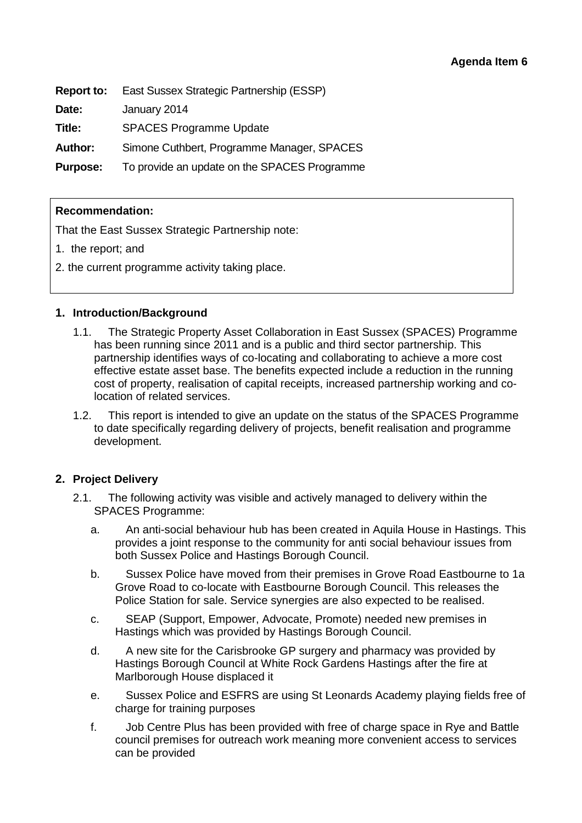| Report to:      | East Sussex Strategic Partnership (ESSP)     |
|-----------------|----------------------------------------------|
| Date:           | January 2014                                 |
| Title:          | <b>SPACES Programme Update</b>               |
| <b>Author:</b>  | Simone Cuthbert, Programme Manager, SPACES   |
| <b>Purpose:</b> | To provide an update on the SPACES Programme |

#### **Recommendation:**

That the East Sussex Strategic Partnership note:

- 1. the report; and
- 2. the current programme activity taking place.

#### **1. Introduction/Background**

- 1.1. The Strategic Property Asset Collaboration in East Sussex (SPACES) Programme has been running since 2011 and is a public and third sector partnership. This partnership identifies ways of co-locating and collaborating to achieve a more cost effective estate asset base. The benefits expected include a reduction in the running cost of property, realisation of capital receipts, increased partnership working and colocation of related services.
- 1.2. This report is intended to give an update on the status of the SPACES Programme to date specifically regarding delivery of projects, benefit realisation and programme development.

### **2. Project Delivery**

- 2.1. The following activity was visible and actively managed to delivery within the SPACES Programme:
	- a. An anti-social behaviour hub has been created in Aquila House in Hastings. This provides a joint response to the community for anti social behaviour issues from both Sussex Police and Hastings Borough Council.
	- b. Sussex Police have moved from their premises in Grove Road Eastbourne to 1a Grove Road to co-locate with Eastbourne Borough Council. This releases the Police Station for sale. Service synergies are also expected to be realised.
	- c. SEAP (Support, Empower, Advocate, Promote) needed new premises in Hastings which was provided by Hastings Borough Council.
	- d. A new site for the Carisbrooke GP surgery and pharmacy was provided by Hastings Borough Council at White Rock Gardens Hastings after the fire at Marlborough House displaced it
	- e. Sussex Police and ESFRS are using St Leonards Academy playing fields free of charge for training purposes
	- f. Job Centre Plus has been provided with free of charge space in Rye and Battle council premises for outreach work meaning more convenient access to services can be provided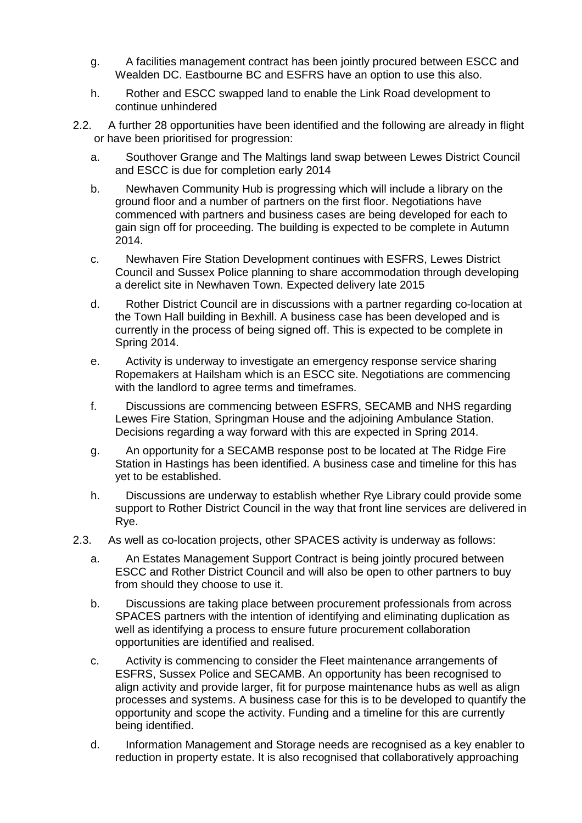- g. A facilities management contract has been jointly procured between ESCC and Wealden DC. Eastbourne BC and ESFRS have an option to use this also.
- h. Rother and ESCC swapped land to enable the Link Road development to continue unhindered
- 2.2. A further 28 opportunities have been identified and the following are already in flight or have been prioritised for progression:
	- a. Southover Grange and The Maltings land swap between Lewes District Council and ESCC is due for completion early 2014
	- b. Newhaven Community Hub is progressing which will include a library on the ground floor and a number of partners on the first floor. Negotiations have commenced with partners and business cases are being developed for each to gain sign off for proceeding. The building is expected to be complete in Autumn 2014.
	- c. Newhaven Fire Station Development continues with ESFRS, Lewes District Council and Sussex Police planning to share accommodation through developing a derelict site in Newhaven Town. Expected delivery late 2015
	- d. Rother District Council are in discussions with a partner regarding co-location at the Town Hall building in Bexhill. A business case has been developed and is currently in the process of being signed off. This is expected to be complete in Spring 2014.
	- e. Activity is underway to investigate an emergency response service sharing Ropemakers at Hailsham which is an ESCC site. Negotiations are commencing with the landlord to agree terms and timeframes.
	- f. Discussions are commencing between ESFRS, SECAMB and NHS regarding Lewes Fire Station, Springman House and the adjoining Ambulance Station. Decisions regarding a way forward with this are expected in Spring 2014.
	- g. An opportunity for a SECAMB response post to be located at The Ridge Fire Station in Hastings has been identified. A business case and timeline for this has yet to be established.
	- h. Discussions are underway to establish whether Rye Library could provide some support to Rother District Council in the way that front line services are delivered in Rye.
- 2.3. As well as co-location projects, other SPACES activity is underway as follows:
	- a. An Estates Management Support Contract is being jointly procured between ESCC and Rother District Council and will also be open to other partners to buy from should they choose to use it.
	- b. Discussions are taking place between procurement professionals from across SPACES partners with the intention of identifying and eliminating duplication as well as identifying a process to ensure future procurement collaboration opportunities are identified and realised.
	- c. Activity is commencing to consider the Fleet maintenance arrangements of ESFRS, Sussex Police and SECAMB. An opportunity has been recognised to align activity and provide larger, fit for purpose maintenance hubs as well as align processes and systems. A business case for this is to be developed to quantify the opportunity and scope the activity. Funding and a timeline for this are currently being identified.
	- d. Information Management and Storage needs are recognised as a key enabler to reduction in property estate. It is also recognised that collaboratively approaching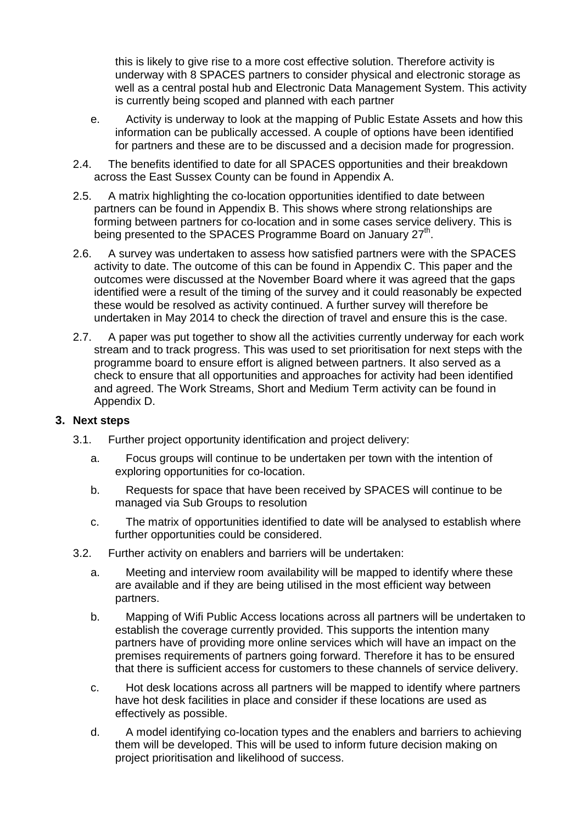this is likely to give rise to a more cost effective solution. Therefore activity is underway with 8 SPACES partners to consider physical and electronic storage as well as a central postal hub and Electronic Data Management System. This activity is currently being scoped and planned with each partner

- e. Activity is underway to look at the mapping of Public Estate Assets and how this information can be publically accessed. A couple of options have been identified for partners and these are to be discussed and a decision made for progression.
- 2.4. The benefits identified to date for all SPACES opportunities and their breakdown across the East Sussex County can be found in Appendix A.
- 2.5. A matrix highlighting the co-location opportunities identified to date between partners can be found in Appendix B. This shows where strong relationships are forming between partners for co-location and in some cases service delivery. This is being presented to the SPACES Programme Board on January 27<sup>th</sup>.
- 2.6. A survey was undertaken to assess how satisfied partners were with the SPACES activity to date. The outcome of this can be found in Appendix C. This paper and the outcomes were discussed at the November Board where it was agreed that the gaps identified were a result of the timing of the survey and it could reasonably be expected these would be resolved as activity continued. A further survey will therefore be undertaken in May 2014 to check the direction of travel and ensure this is the case.
- 2.7. A paper was put together to show all the activities currently underway for each work stream and to track progress. This was used to set prioritisation for next steps with the programme board to ensure effort is aligned between partners. It also served as a check to ensure that all opportunities and approaches for activity had been identified and agreed. The Work Streams, Short and Medium Term activity can be found in Appendix D.

### **3. Next steps**

- 3.1. Further project opportunity identification and project delivery:
	- a. Focus groups will continue to be undertaken per town with the intention of exploring opportunities for co-location.
	- b. Requests for space that have been received by SPACES will continue to be managed via Sub Groups to resolution
	- c. The matrix of opportunities identified to date will be analysed to establish where further opportunities could be considered.
- 3.2. Further activity on enablers and barriers will be undertaken:
	- a. Meeting and interview room availability will be mapped to identify where these are available and if they are being utilised in the most efficient way between partners.
	- b. Mapping of Wifi Public Access locations across all partners will be undertaken to establish the coverage currently provided. This supports the intention many partners have of providing more online services which will have an impact on the premises requirements of partners going forward. Therefore it has to be ensured that there is sufficient access for customers to these channels of service delivery.
	- c. Hot desk locations across all partners will be mapped to identify where partners have hot desk facilities in place and consider if these locations are used as effectively as possible.
	- d. A model identifying co-location types and the enablers and barriers to achieving them will be developed. This will be used to inform future decision making on project prioritisation and likelihood of success.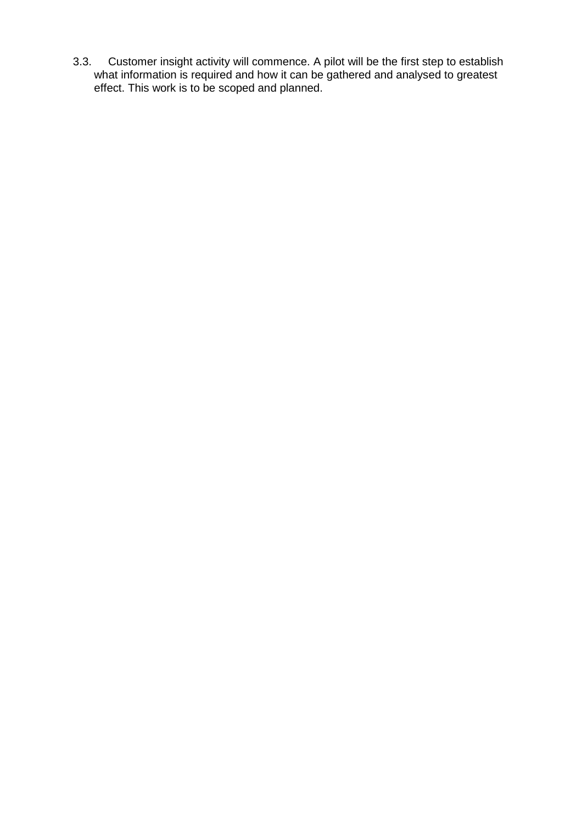3.3. Customer insight activity will commence. A pilot will be the first step to establish what information is required and how it can be gathered and analysed to greatest effect. This work is to be scoped and planned.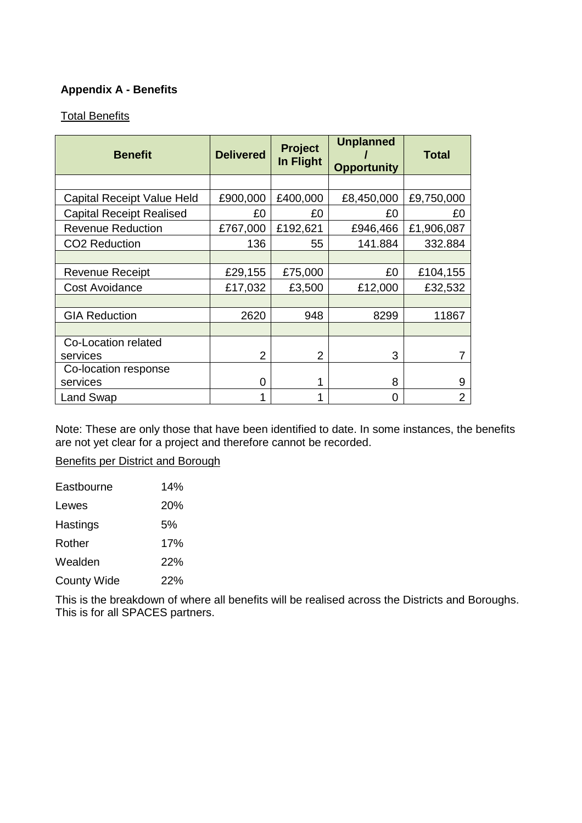## **Appendix A - Benefits**

### Total Benefits

| <b>Benefit</b>                  | <b>Delivered</b> | <b>Project</b><br>In Flight | <b>Unplanned</b><br><b>Opportunity</b> | <b>Total</b>   |
|---------------------------------|------------------|-----------------------------|----------------------------------------|----------------|
|                                 |                  |                             |                                        |                |
| Capital Receipt Value Held      | £900,000         | £400,000                    | £8,450,000                             | £9,750,000     |
| <b>Capital Receipt Realised</b> | £0               | £0                          | £0                                     | £0             |
| <b>Revenue Reduction</b>        | £767,000         | £192,621                    | £946,466                               | £1,906,087     |
| CO <sub>2</sub> Reduction       | 136              | 55                          | 141.884                                | 332.884        |
|                                 |                  |                             |                                        |                |
| <b>Revenue Receipt</b>          | £29,155          | £75,000                     | £0                                     | £104,155       |
| <b>Cost Avoidance</b>           | £17,032          | £3,500                      | £12,000                                | £32,532        |
|                                 |                  |                             |                                        |                |
| <b>GIA Reduction</b>            | 2620             | 948                         | 8299                                   | 11867          |
|                                 |                  |                             |                                        |                |
| Co-Location related             |                  |                             |                                        |                |
| services                        | $\overline{2}$   | $\overline{2}$              | 3                                      |                |
| Co-location response            |                  |                             |                                        |                |
| services                        | 0                |                             | 8                                      | 9              |
| Land Swap                       |                  | 1                           | O                                      | $\overline{2}$ |

Note: These are only those that have been identified to date. In some instances, the benefits are not yet clear for a project and therefore cannot be recorded.

Benefits per District and Borough

| Eastbourne         | 14%        |
|--------------------|------------|
| Lewes              | <b>20%</b> |
| Hastings           | 5%         |
| Rother             | 17%        |
| Wealden            | 22%        |
| <b>County Wide</b> | 22%        |

This is the breakdown of where all benefits will be realised across the Districts and Boroughs. This is for all SPACES partners.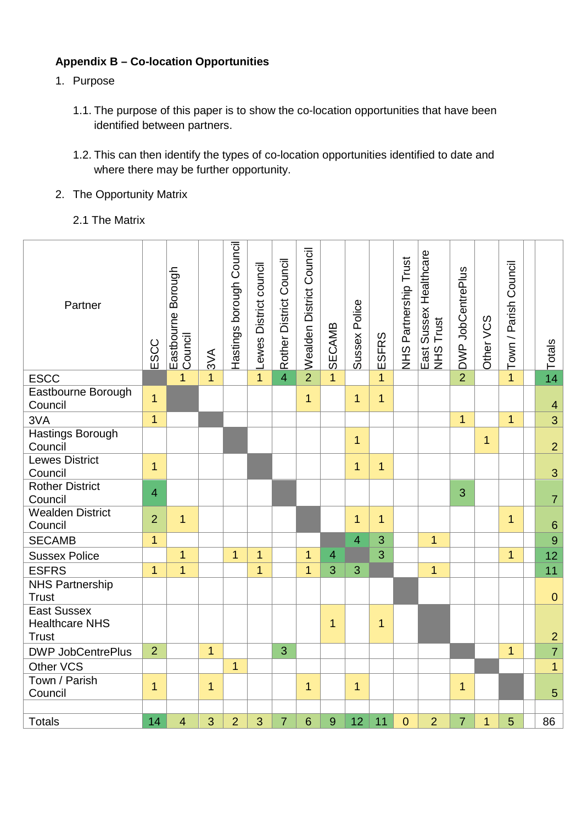# **Appendix B – Co-location Opportunities**

- 1. Purpose
	- 1.1. The purpose of this paper is to show the co-location opportunities that have been identified between partners.
	- 1.2. This can then identify the types of co-location opportunities identified to date and where there may be further opportunity.
- 2. The Opportunity Matrix
	- 2.1 The Matrix

| Partner                                                     | ESCC           | Eastbourne Borough<br>Council | 3V <sub>A</sub> | Hastings borough Council | Lewes District council | Rother District Council | Wealden District Council | <b>SECAMB</b>  | Sussex Police  | ESFRS          | NHS Partnership Trust | East Sussex Healthcare<br>NHS Trust | DWP JobCentrePlus | Other VCS    | Town / Parish Council | $\frac{1}{4}$ Totals |
|-------------------------------------------------------------|----------------|-------------------------------|-----------------|--------------------------|------------------------|-------------------------|--------------------------|----------------|----------------|----------------|-----------------------|-------------------------------------|-------------------|--------------|-----------------------|----------------------|
| <b>ESCC</b>                                                 |                | $\overline{1}$                | $\overline{1}$  |                          | $\mathbf{1}$           | $\overline{4}$          | $\overline{2}$           | $\overline{1}$ |                | $\mathbf{1}$   |                       |                                     | $\overline{2}$    |              | $\overline{1}$        |                      |
| Eastbourne Borough<br>Council                               | $\mathbf{1}$   |                               |                 |                          |                        |                         | $\mathbf{1}$             |                | $\mathbf{1}$   | $\mathbf{1}$   |                       |                                     |                   |              |                       | $\overline{4}$       |
| 3VA                                                         | $\mathbf{1}$   |                               |                 |                          |                        |                         |                          |                |                |                |                       |                                     | $\mathbf{1}$      |              | $\mathbf{1}$          | $\overline{3}$       |
| <b>Hastings Borough</b><br>Council                          |                |                               |                 |                          |                        |                         |                          |                | $\overline{1}$ |                |                       |                                     |                   | $\mathbf{1}$ |                       | $\overline{2}$       |
| <b>Lewes District</b><br>Council                            | $\mathbf{1}$   |                               |                 |                          |                        |                         |                          |                | $\mathbf{1}$   | $\mathbf{1}$   |                       |                                     |                   |              |                       | 3                    |
| <b>Rother District</b><br>Council                           | $\overline{4}$ |                               |                 |                          |                        |                         |                          |                |                |                |                       |                                     | 3                 |              |                       | $\overline{7}$       |
| <b>Wealden District</b><br>Council                          | $\overline{2}$ | $\overline{1}$                |                 |                          |                        |                         |                          |                | 1              | $\mathbf{1}$   |                       |                                     |                   |              | $\mathbf{1}$          | $\boldsymbol{6}$     |
| <b>SECAMB</b>                                               | $\mathbf{1}$   |                               |                 |                          |                        |                         |                          |                | $\overline{4}$ | 3              |                       | $\overline{1}$                      |                   |              |                       | $\overline{9}$       |
| <b>Sussex Police</b>                                        |                | $\overline{1}$                |                 | $\overline{1}$           | $\mathbf{1}$           |                         | $\mathbf{1}$             | $\overline{4}$ |                | $\overline{3}$ |                       |                                     |                   |              | $\overline{1}$        | 12 <sup>12</sup>     |
| <b>ESFRS</b>                                                | $\overline{1}$ | $\overline{1}$                |                 |                          | $\overline{1}$         |                         | 1                        | 3              | 3              |                |                       | $\overline{1}$                      |                   |              |                       | 11                   |
| <b>NHS Partnership</b><br><b>Trust</b>                      |                |                               |                 |                          |                        |                         |                          |                |                |                |                       |                                     |                   |              |                       | $\overline{0}$       |
| <b>East Sussex</b><br><b>Healthcare NHS</b><br><b>Trust</b> |                |                               |                 |                          |                        |                         |                          | $\mathbf{1}$   |                | $\overline{1}$ |                       |                                     |                   |              |                       | $\overline{2}$       |
| <b>DWP JobCentrePlus</b>                                    | $\overline{2}$ |                               | $\mathbf{1}$    |                          |                        | 3                       |                          |                |                |                |                       |                                     |                   |              | $\overline{1}$        | $\overline{7}$       |
| Other VCS                                                   |                |                               |                 | $\overline{1}$           |                        |                         |                          |                |                |                |                       |                                     |                   |              |                       | $\overline{1}$       |
| Town / Parish<br>Council                                    | 1              |                               | $\mathbf{1}$    |                          |                        |                         | 1                        |                | 1              |                |                       |                                     | $\mathbf{1}$      |              |                       | 5                    |
| <b>Totals</b>                                               | 14             | $\overline{4}$                | 3               | $\overline{2}$           | 3                      | $\overline{7}$          | 6                        | 9              | 12             | 11             | $\overline{0}$        | $\overline{2}$                      | $\overline{7}$    | $\mathbf{1}$ | 5                     | 86                   |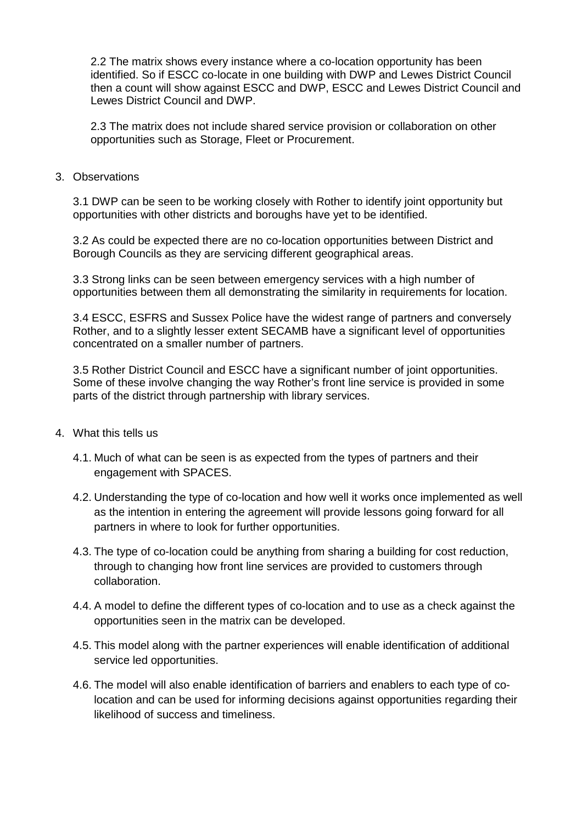2.2 The matrix shows every instance where a co-location opportunity has been identified. So if ESCC co-locate in one building with DWP and Lewes District Council then a count will show against ESCC and DWP, ESCC and Lewes District Council and Lewes District Council and DWP.

2.3 The matrix does not include shared service provision or collaboration on other opportunities such as Storage, Fleet or Procurement.

3. Observations

3.1 DWP can be seen to be working closely with Rother to identify joint opportunity but opportunities with other districts and boroughs have yet to be identified.

3.2 As could be expected there are no co-location opportunities between District and Borough Councils as they are servicing different geographical areas.

3.3 Strong links can be seen between emergency services with a high number of opportunities between them all demonstrating the similarity in requirements for location.

3.4 ESCC, ESFRS and Sussex Police have the widest range of partners and conversely Rother, and to a slightly lesser extent SECAMB have a significant level of opportunities concentrated on a smaller number of partners.

3.5 Rother District Council and ESCC have a significant number of joint opportunities. Some of these involve changing the way Rother's front line service is provided in some parts of the district through partnership with library services.

- 4. What this tells us
	- 4.1. Much of what can be seen is as expected from the types of partners and their engagement with SPACES.
	- 4.2. Understanding the type of co-location and how well it works once implemented as well as the intention in entering the agreement will provide lessons going forward for all partners in where to look for further opportunities.
	- 4.3. The type of co-location could be anything from sharing a building for cost reduction, through to changing how front line services are provided to customers through collaboration.
	- 4.4. A model to define the different types of co-location and to use as a check against the opportunities seen in the matrix can be developed.
	- 4.5. This model along with the partner experiences will enable identification of additional service led opportunities.
	- 4.6. The model will also enable identification of barriers and enablers to each type of colocation and can be used for informing decisions against opportunities regarding their likelihood of success and timeliness.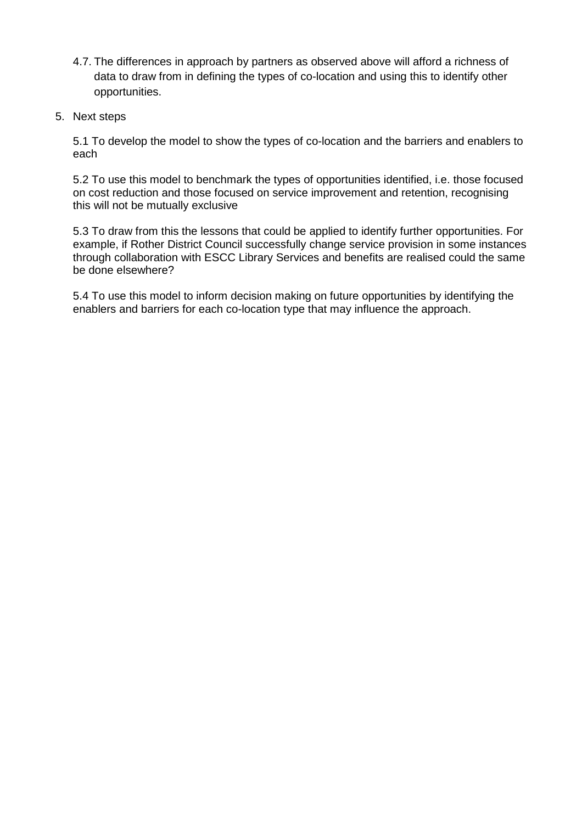- 4.7. The differences in approach by partners as observed above will afford a richness of data to draw from in defining the types of co-location and using this to identify other opportunities.
- 5. Next steps

5.1 To develop the model to show the types of co-location and the barriers and enablers to each

5.2 To use this model to benchmark the types of opportunities identified, i.e. those focused on cost reduction and those focused on service improvement and retention, recognising this will not be mutually exclusive

5.3 To draw from this the lessons that could be applied to identify further opportunities. For example, if Rother District Council successfully change service provision in some instances through collaboration with ESCC Library Services and benefits are realised could the same be done elsewhere?

5.4 To use this model to inform decision making on future opportunities by identifying the enablers and barriers for each co-location type that may influence the approach.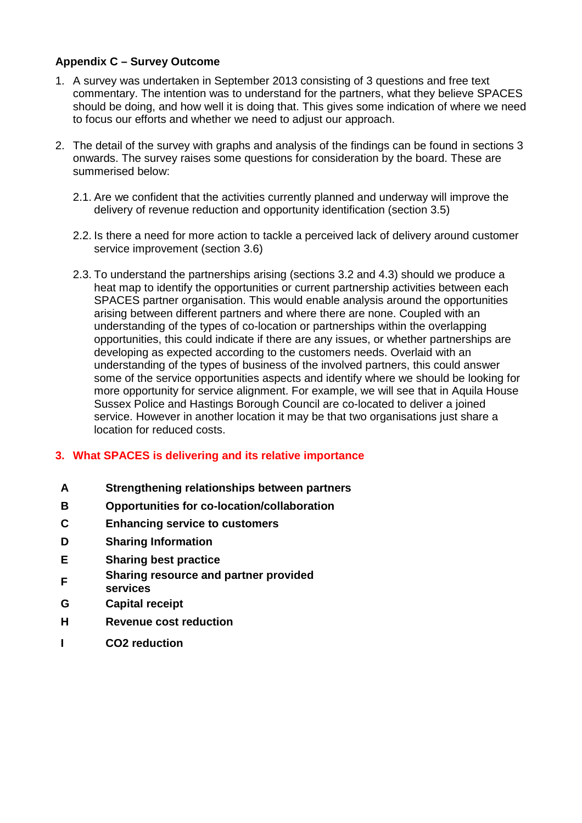### **Appendix C – Survey Outcome**

- 1. A survey was undertaken in September 2013 consisting of 3 questions and free text commentary. The intention was to understand for the partners, what they believe SPACES should be doing, and how well it is doing that. This gives some indication of where we need to focus our efforts and whether we need to adjust our approach.
- 2. The detail of the survey with graphs and analysis of the findings can be found in sections 3 onwards. The survey raises some questions for consideration by the board. These are summerised below:
	- 2.1. Are we confident that the activities currently planned and underway will improve the delivery of revenue reduction and opportunity identification (section 3.5)
	- 2.2. Is there a need for more action to tackle a perceived lack of delivery around customer service improvement (section 3.6)
	- 2.3. To understand the partnerships arising (sections 3.2 and 4.3) should we produce a heat map to identify the opportunities or current partnership activities between each SPACES partner organisation. This would enable analysis around the opportunities arising between different partners and where there are none. Coupled with an understanding of the types of co-location or partnerships within the overlapping opportunities, this could indicate if there are any issues, or whether partnerships are developing as expected according to the customers needs. Overlaid with an understanding of the types of business of the involved partners, this could answer some of the service opportunities aspects and identify where we should be looking for more opportunity for service alignment. For example, we will see that in Aquila House Sussex Police and Hastings Borough Council are co-located to deliver a joined service. However in another location it may be that two organisations just share a location for reduced costs.

### **3. What SPACES is delivering and its relative importance**

- **A Strengthening relationships between partners**
- **B Opportunities for co-location/collaboration**
- **C Enhancing service to customers**
- **D Sharing Information**
- **E Sharing best practice**
- **<sup>F</sup>Sharing resource and partner provided**
- **services**
- **G Capital receipt**
- **H Revenue cost reduction**
- **I CO2 reduction**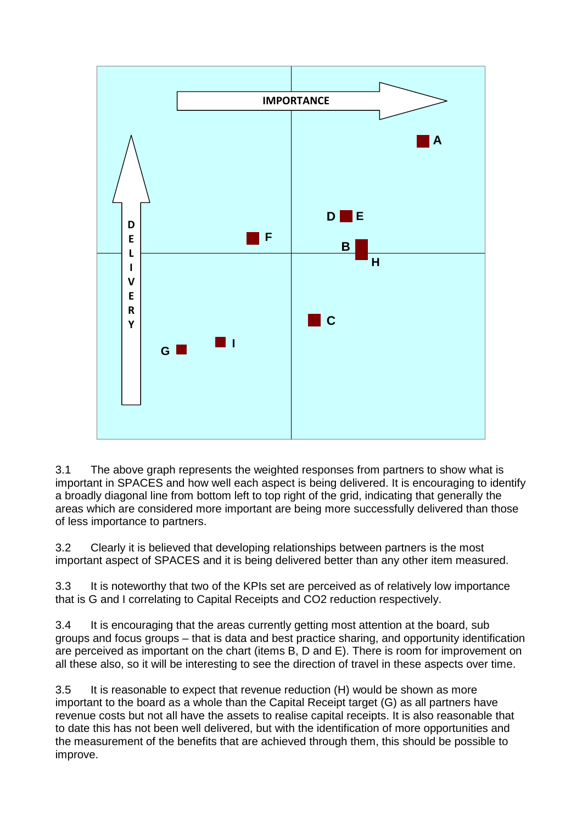

3.1 The above graph represents the weighted responses from partners to show what is important in SPACES and how well each aspect is being delivered. It is encouraging to identify a broadly diagonal line from bottom left to top right of the grid, indicating that generally the areas which are considered more important are being more successfully delivered than those of less importance to partners.

3.2 Clearly it is believed that developing relationships between partners is the most important aspect of SPACES and it is being delivered better than any other item measured.

3.3 It is noteworthy that two of the KPIs set are perceived as of relatively low importance that is G and I correlating to Capital Receipts and CO2 reduction respectively.

3.4 It is encouraging that the areas currently getting most attention at the board, sub groups and focus groups – that is data and best practice sharing, and opportunity identification are perceived as important on the chart (items B, D and E). There is room for improvement on all these also, so it will be interesting to see the direction of travel in these aspects over time.

3.5 It is reasonable to expect that revenue reduction (H) would be shown as more important to the board as a whole than the Capital Receipt target (G) as all partners have revenue costs but not all have the assets to realise capital receipts. It is also reasonable that to date this has not been well delivered, but with the identification of more opportunities and the measurement of the benefits that are achieved through them, this should be possible to improve.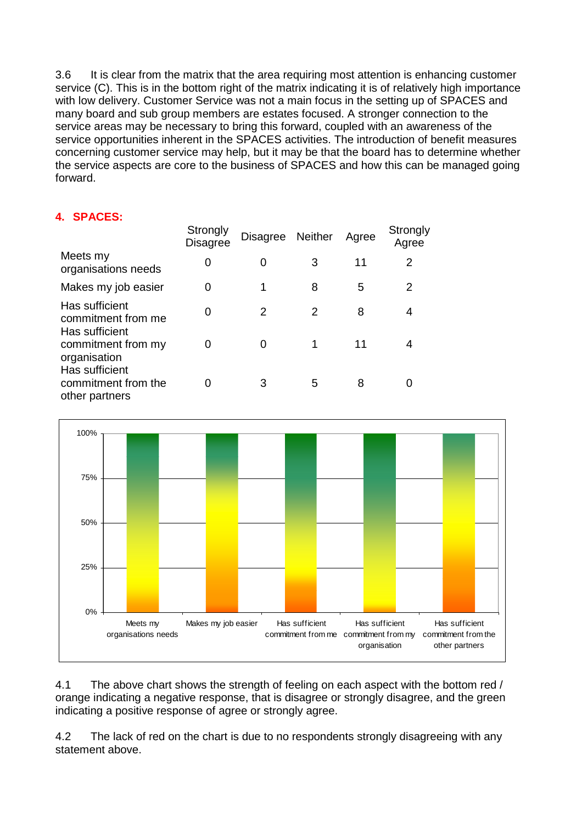3.6 It is clear from the matrix that the area requiring most attention is enhancing customer service (C). This is in the bottom right of the matrix indicating it is of relatively high importance with low delivery. Customer Service was not a main focus in the setting up of SPACES and many board and sub group members are estates focused. A stronger connection to the service areas may be necessary to bring this forward, coupled with an awareness of the service opportunities inherent in the SPACES activities. The introduction of benefit measures concerning customer service may help, but it may be that the board has to determine whether the service aspects are core to the business of SPACES and how this can be managed going forward.

## **4. SPACES:**

|                                                         | Strongly<br><b>Disagree</b> | Disagree Neither |   | Agree | Strongly<br>Agree |
|---------------------------------------------------------|-----------------------------|------------------|---|-------|-------------------|
| Meets my<br>organisations needs                         | 0                           | 0                | 3 | 11    | 2                 |
| Makes my job easier                                     | 0                           |                  | 8 | 5     | 2                 |
| Has sufficient<br>commitment from me<br>Has sufficient  | ი                           | 2                | 2 | 8     | 4                 |
| commitment from my<br>organisation                      | O                           | O                |   | 11    | 4                 |
| Has sufficient<br>commitment from the<br>other partners |                             | 3                | 5 | 8     |                   |



4.1 The above chart shows the strength of feeling on each aspect with the bottom red / orange indicating a negative response, that is disagree or strongly disagree, and the green indicating a positive response of agree or strongly agree.

4.2 The lack of red on the chart is due to no respondents strongly disagreeing with any statement above.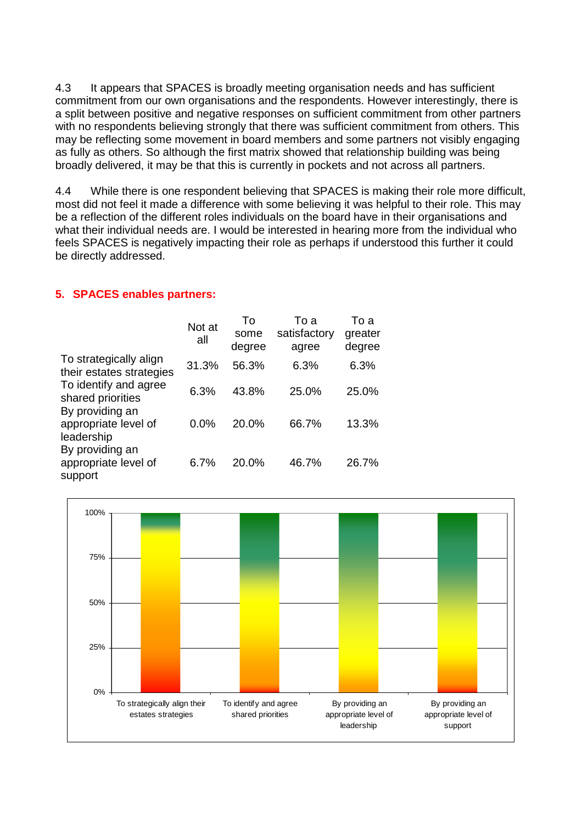4.3 It appears that SPACES is broadly meeting organisation needs and has sufficient commitment from our own organisations and the respondents. However interestingly, there is a split between positive and negative responses on sufficient commitment from other partners with no respondents believing strongly that there was sufficient commitment from others. This may be reflecting some movement in board members and some partners not visibly engaging as fully as others. So although the first matrix showed that relationship building was being broadly delivered, it may be that this is currently in pockets and not across all partners.

4.4 While there is one respondent believing that SPACES is making their role more difficult, most did not feel it made a difference with some believing it was helpful to their role. This may be a reflection of the different roles individuals on the board have in their organisations and what their individual needs are. I would be interested in hearing more from the individual who feels SPACES is negatively impacting their role as perhaps if understood this further it could be directly addressed.

### **5. SPACES enables partners:**

|                                                       | Not at<br>all | To<br>some<br>degree | То а<br>satisfactory<br>agree | To a<br>greater<br>degree |
|-------------------------------------------------------|---------------|----------------------|-------------------------------|---------------------------|
| To strategically align<br>their estates strategies    | 31.3%         | 56.3%                | 6.3%                          | 6.3%                      |
| To identify and agree<br>shared priorities            | 6.3%          | 43.8%                | 25.0%                         | 25.0%                     |
| By providing an<br>appropriate level of<br>leadership | $0.0\%$       | 20.0%                | 66.7%                         | 13.3%                     |
| By providing an<br>appropriate level of<br>support    | 6.7%          | 20.0%                | 46.7%                         | 26.7%                     |

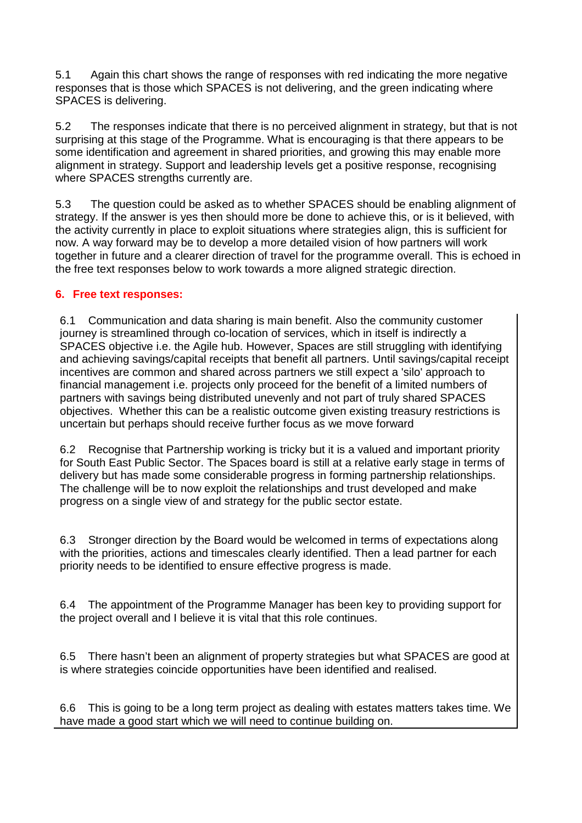5.1 Again this chart shows the range of responses with red indicating the more negative responses that is those which SPACES is not delivering, and the green indicating where SPACES is delivering.

5.2 The responses indicate that there is no perceived alignment in strategy, but that is not surprising at this stage of the Programme. What is encouraging is that there appears to be some identification and agreement in shared priorities, and growing this may enable more alignment in strategy. Support and leadership levels get a positive response, recognising where SPACES strengths currently are.

5.3 The question could be asked as to whether SPACES should be enabling alignment of strategy. If the answer is yes then should more be done to achieve this, or is it believed, with the activity currently in place to exploit situations where strategies align, this is sufficient for now. A way forward may be to develop a more detailed vision of how partners will work together in future and a clearer direction of travel for the programme overall. This is echoed in the free text responses below to work towards a more aligned strategic direction.

### **6. Free text responses:**

6.1 Communication and data sharing is main benefit. Also the community customer journey is streamlined through co-location of services, which in itself is indirectly a SPACES objective i.e. the Agile hub. However, Spaces are still struggling with identifying and achieving savings/capital receipts that benefit all partners. Until savings/capital receipt incentives are common and shared across partners we still expect a 'silo' approach to financial management i.e. projects only proceed for the benefit of a limited numbers of partners with savings being distributed unevenly and not part of truly shared SPACES objectives. Whether this can be a realistic outcome given existing treasury restrictions is uncertain but perhaps should receive further focus as we move forward

6.2 Recognise that Partnership working is tricky but it is a valued and important priority for South East Public Sector. The Spaces board is still at a relative early stage in terms of delivery but has made some considerable progress in forming partnership relationships. The challenge will be to now exploit the relationships and trust developed and make progress on a single view of and strategy for the public sector estate.

6.3 Stronger direction by the Board would be welcomed in terms of expectations along with the priorities, actions and timescales clearly identified. Then a lead partner for each priority needs to be identified to ensure effective progress is made.

6.4 The appointment of the Programme Manager has been key to providing support for the project overall and I believe it is vital that this role continues.

6.5 There hasn't been an alignment of property strategies but what SPACES are good at is where strategies coincide opportunities have been identified and realised.

6.6 This is going to be a long term project as dealing with estates matters takes time. We have made a good start which we will need to continue building on.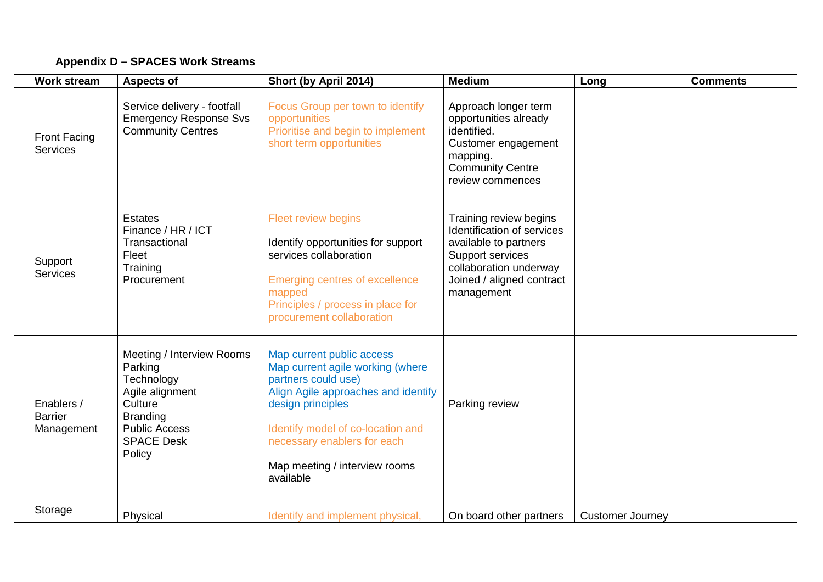## **Appendix D – SPACES Work Streams**

| <b>Work stream</b>                         | <b>Aspects of</b>                                                                                                                                          | Short (by April 2014)                                                                                                                                                                                                                                              | <b>Medium</b>                                                                                                                                                          | Long                    | <b>Comments</b> |
|--------------------------------------------|------------------------------------------------------------------------------------------------------------------------------------------------------------|--------------------------------------------------------------------------------------------------------------------------------------------------------------------------------------------------------------------------------------------------------------------|------------------------------------------------------------------------------------------------------------------------------------------------------------------------|-------------------------|-----------------|
| <b>Front Facing</b><br><b>Services</b>     | Service delivery - footfall<br><b>Emergency Response Svs</b><br><b>Community Centres</b>                                                                   | Focus Group per town to identify<br>opportunities<br>Prioritise and begin to implement<br>short term opportunities                                                                                                                                                 | Approach longer term<br>opportunities already<br>identified.<br>Customer engagement<br>mapping.<br><b>Community Centre</b><br>review commences                         |                         |                 |
| Support<br><b>Services</b>                 | <b>Estates</b><br>Finance / HR / ICT<br>Transactional<br>Fleet<br>Training<br>Procurement                                                                  | <b>Fleet review begins</b><br>Identify opportunities for support<br>services collaboration<br><b>Emerging centres of excellence</b><br>mapped<br>Principles / process in place for<br>procurement collaboration                                                    | Training review begins<br>Identification of services<br>available to partners<br>Support services<br>collaboration underway<br>Joined / aligned contract<br>management |                         |                 |
| Enablers /<br><b>Barrier</b><br>Management | Meeting / Interview Rooms<br>Parking<br>Technology<br>Agile alignment<br>Culture<br><b>Branding</b><br><b>Public Access</b><br><b>SPACE Desk</b><br>Policy | Map current public access<br>Map current agile working (where<br>partners could use)<br>Align Agile approaches and identify<br>design principles<br>Identify model of co-location and<br>necessary enablers for each<br>Map meeting / interview rooms<br>available | Parking review                                                                                                                                                         |                         |                 |
| Storage                                    | Physical                                                                                                                                                   | Identify and implement physical,                                                                                                                                                                                                                                   | On board other partners                                                                                                                                                | <b>Customer Journey</b> |                 |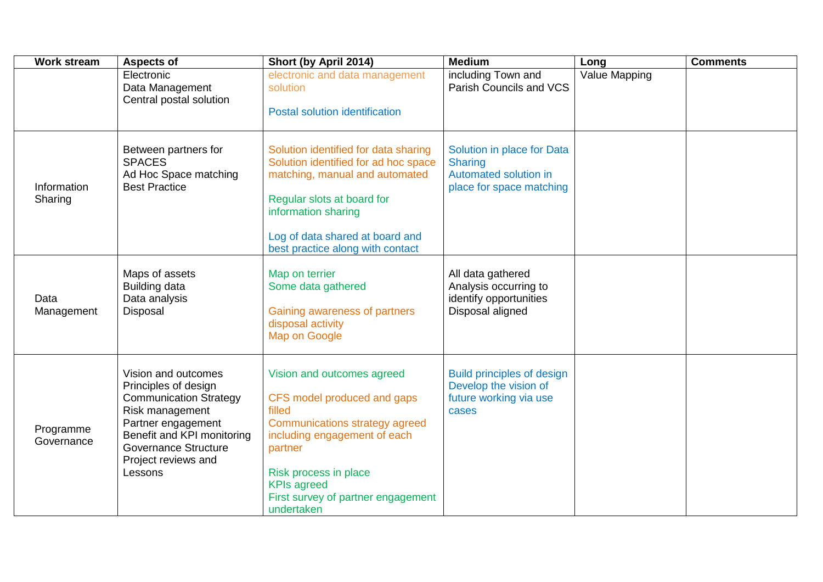| <b>Work stream</b>      | <b>Aspects of</b>                                                                                                                                                                                                    | Short (by April 2014)                                                                                                                                                                                                                               | <b>Medium</b>                                                                                     | Long          | <b>Comments</b> |
|-------------------------|----------------------------------------------------------------------------------------------------------------------------------------------------------------------------------------------------------------------|-----------------------------------------------------------------------------------------------------------------------------------------------------------------------------------------------------------------------------------------------------|---------------------------------------------------------------------------------------------------|---------------|-----------------|
|                         | Electronic<br>Data Management<br>Central postal solution                                                                                                                                                             | electronic and data management<br>solution<br><b>Postal solution identification</b>                                                                                                                                                                 | including Town and<br>Parish Councils and VCS                                                     | Value Mapping |                 |
| Information<br>Sharing  | Between partners for<br><b>SPACES</b><br>Ad Hoc Space matching<br><b>Best Practice</b>                                                                                                                               | Solution identified for data sharing<br>Solution identified for ad hoc space<br>matching, manual and automated<br>Regular slots at board for<br>information sharing<br>Log of data shared at board and<br>best practice along with contact          | Solution in place for Data<br><b>Sharing</b><br>Automated solution in<br>place for space matching |               |                 |
| Data<br>Management      | Maps of assets<br>Building data<br>Data analysis<br>Disposal                                                                                                                                                         | Map on terrier<br>Some data gathered<br>Gaining awareness of partners<br>disposal activity<br>Map on Google                                                                                                                                         | All data gathered<br>Analysis occurring to<br>identify opportunities<br>Disposal aligned          |               |                 |
| Programme<br>Governance | Vision and outcomes<br>Principles of design<br><b>Communication Strategy</b><br>Risk management<br>Partner engagement<br>Benefit and KPI monitoring<br><b>Governance Structure</b><br>Project reviews and<br>Lessons | Vision and outcomes agreed<br>CFS model produced and gaps<br>filled<br>Communications strategy agreed<br>including engagement of each<br>partner<br>Risk process in place<br><b>KPIs agreed</b><br>First survey of partner engagement<br>undertaken | <b>Build principles of design</b><br>Develop the vision of<br>future working via use<br>cases     |               |                 |